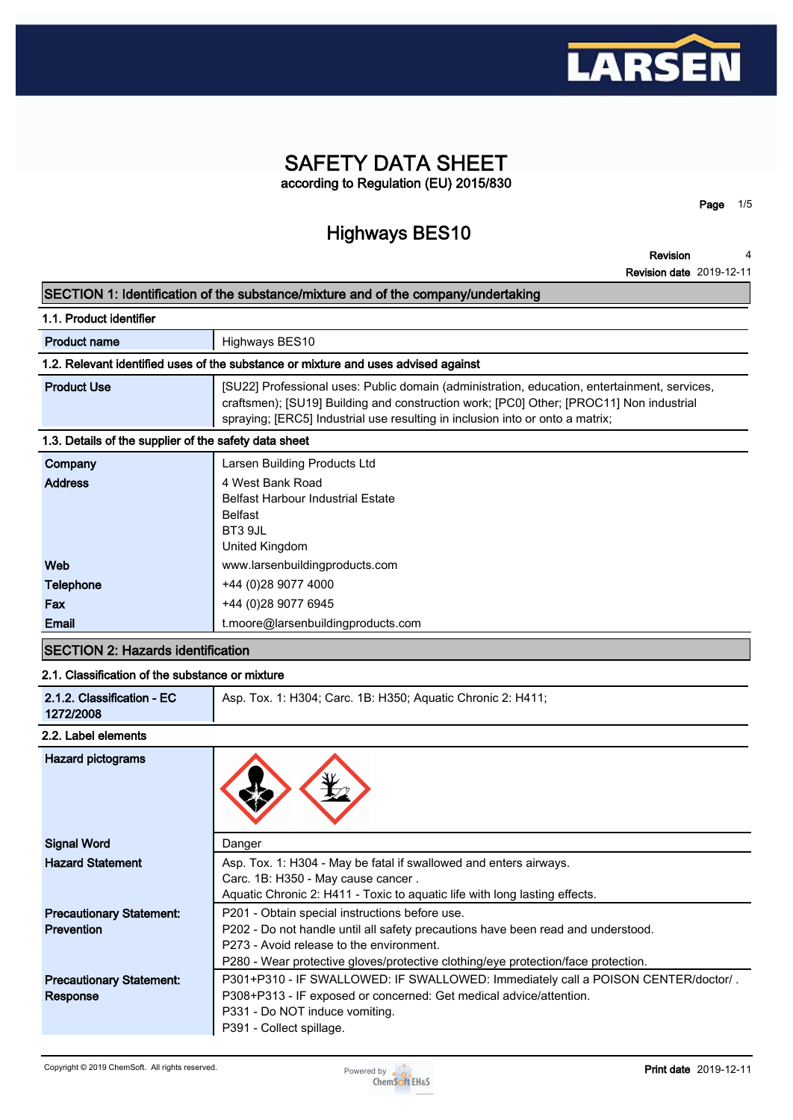

# **SAFETY DATA SHEET according to Regulation (EU) 2015/830**

**Highways BES10**

**Revision 4**

**Page 1/5**

**Revision date 2019-12-11**

## **SECTION 1: Identification of the substance/mixture and of the company/undertaking**

| 1.1. Product identifier                                                            |                                                                                                                                                                                                                                                                          |  |  |  |
|------------------------------------------------------------------------------------|--------------------------------------------------------------------------------------------------------------------------------------------------------------------------------------------------------------------------------------------------------------------------|--|--|--|
| <b>Product name</b>                                                                | Highways BES10                                                                                                                                                                                                                                                           |  |  |  |
| 1.2. Relevant identified uses of the substance or mixture and uses advised against |                                                                                                                                                                                                                                                                          |  |  |  |
| <b>Product Use</b>                                                                 | [SU22] Professional uses: Public domain (administration, education, entertainment, services,<br>craftsmen); [SU19] Building and construction work; [PC0] Other; [PROC11] Non industrial<br>spraying; [ERC5] Industrial use resulting in inclusion into or onto a matrix; |  |  |  |
| 1.3. Details of the supplier of the safety data sheet                              |                                                                                                                                                                                                                                                                          |  |  |  |
| Company                                                                            | Larsen Building Products Ltd                                                                                                                                                                                                                                             |  |  |  |
| <b>Address</b>                                                                     | 4 West Bank Road<br><b>Belfast Harbour Industrial Estate</b><br><b>Belfast</b><br><b>DT2 OIL</b>                                                                                                                                                                         |  |  |  |

| ________         |                                    |
|------------------|------------------------------------|
|                  |                                    |
| <b>Email</b>     | t.moore@larsenbuildingproducts.com |
| Fax              | +44 (0)28 9077 6945                |
| <b>Telephone</b> | +44 (0) 28 9077 4000               |
| Web              | www.larsenbuildingproducts.com     |
|                  | United Kingdom                     |
|                  | <b>DISSUL</b>                      |

# **SECTION 2: Hazards identification**

# **2.1. Classification of the substance or mixture**

| 2.1.2. Classification - EC<br>Asp. Tox. 1: H304; Carc. 1B: H350; Aquatic Chronic 2: H411;<br>1272/2008 |
|--------------------------------------------------------------------------------------------------------|
|--------------------------------------------------------------------------------------------------------|

## **2.2. Label elements**

| <b>Hazard pictograms</b>                             |                                                                                                                                                                                                                                                                     |
|------------------------------------------------------|---------------------------------------------------------------------------------------------------------------------------------------------------------------------------------------------------------------------------------------------------------------------|
| <b>Signal Word</b>                                   | Danger                                                                                                                                                                                                                                                              |
| <b>Hazard Statement</b>                              | Asp. Tox. 1: H304 - May be fatal if swallowed and enters airways.<br>Carc. 1B: H350 - May cause cancer.<br>Aquatic Chronic 2: H411 - Toxic to aquatic life with long lasting effects.                                                                               |
| <b>Precautionary Statement:</b><br><b>Prevention</b> | P201 - Obtain special instructions before use.<br>P202 - Do not handle until all safety precautions have been read and understood.<br>P273 - Avoid release to the environment.<br>P280 - Wear protective gloves/protective clothing/eye protection/face protection. |
| <b>Precautionary Statement:</b><br><b>Response</b>   | P301+P310 - IF SWALLOWED: IF SWALLOWED: Immediately call a POISON CENTER/doctor/.<br>P308+P313 - IF exposed or concerned: Get medical advice/attention.<br>P331 - Do NOT induce vomiting.<br>P391 - Collect spillage.                                               |

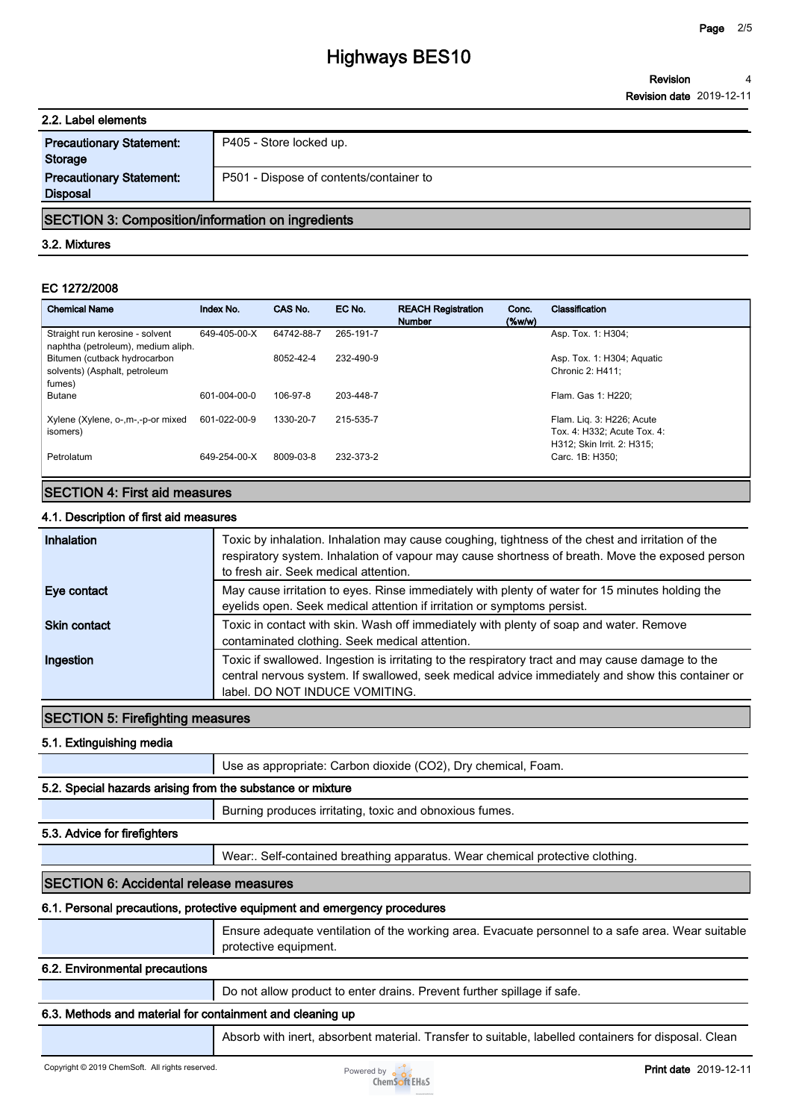| 2.2. Label elements                                |                                         |
|----------------------------------------------------|-----------------------------------------|
| <b>Precautionary Statement:</b><br><b>Storage</b>  | P405 - Store locked up.                 |
| <b>Precautionary Statement:</b><br><b>Disposal</b> | P501 - Dispose of contents/container to |

## **SECTION 3: Composition/information on ingredients**

#### **3.2. Mixtures**

### **EC 1272/2008**

| <b>Chemical Name</b>                                                    | Index No.    | CAS No.    | EC No.    | <b>REACH Registration</b><br><b>Number</b> | Conc.<br>$(\%w/w)$ | Classification                                                                         |
|-------------------------------------------------------------------------|--------------|------------|-----------|--------------------------------------------|--------------------|----------------------------------------------------------------------------------------|
| Straight run kerosine - solvent<br>naphtha (petroleum), medium aliph.   | 649-405-00-X | 64742-88-7 | 265-191-7 |                                            |                    | Asp. Tox. 1: H304;                                                                     |
| Bitumen (cutback hydrocarbon<br>solvents) (Asphalt, petroleum<br>fumes) |              | 8052-42-4  | 232-490-9 |                                            |                    | Asp. Tox. 1: H304; Aquatic<br>Chronic 2: H411:                                         |
| <b>Butane</b>                                                           | 601-004-00-0 | 106-97-8   | 203-448-7 |                                            |                    | Flam. Gas 1: H220:                                                                     |
| Xylene (Xylene, o-, m-,-p-or mixed<br>isomers)                          | 601-022-00-9 | 1330-20-7  | 215-535-7 |                                            |                    | Flam. Lig. 3: H226; Acute<br>Tox. 4: H332; Acute Tox. 4:<br>H312: Skin Irrit. 2: H315: |
| Petrolatum                                                              | 649-254-00-X | 8009-03-8  | 232-373-2 |                                            |                    | Carc. 1B: H350:                                                                        |

# **SECTION 4: First aid measures**

## **4.1. Description of first aid measures**

| Inhalation          | Toxic by inhalation. Inhalation may cause coughing, tightness of the chest and irritation of the<br>respiratory system. Inhalation of vapour may cause shortness of breath. Move the exposed person<br>to fresh air. Seek medical attention. |
|---------------------|----------------------------------------------------------------------------------------------------------------------------------------------------------------------------------------------------------------------------------------------|
| Eye contact         | May cause irritation to eyes. Rinse immediately with plenty of water for 15 minutes holding the<br>eyelids open. Seek medical attention if irritation or symptoms persist.                                                                   |
| <b>Skin contact</b> | Toxic in contact with skin. Wash off immediately with plenty of soap and water. Remove<br>contaminated clothing. Seek medical attention.                                                                                                     |
| Ingestion           | Toxic if swallowed. Ingestion is irritating to the respiratory tract and may cause damage to the<br>central nervous system. If swallowed, seek medical advice immediately and show this container or<br>label. DO NOT INDUCE VOMITING.       |

## **SECTION 5: Firefighting measures**

**5.1. Extinguishing media**

**Use as appropriate: Carbon dioxide (CO2), Dry chemical, Foam.**

## **5.2. Special hazards arising from the substance or mixture**

**Burning produces irritating, toxic and obnoxious fumes.**

#### **5.3. Advice for firefighters**

**Wear:. Self-contained breathing apparatus. Wear chemical protective clothing.**

## **SECTION 6: Accidental release measures**

#### **6.1. Personal precautions, protective equipment and emergency procedures**

**Ensure adequate ventilation of the working area. Evacuate personnel to a safe area. Wear suitable protective equipment.**

## **6.2. Environmental precautions**

**Do not allow product to enter drains. Prevent further spillage if safe.**

## **6.3. Methods and material for containment and cleaning up**

**Absorb with inert, absorbent material. Transfer to suitable, labelled containers for disposal. Clean** 

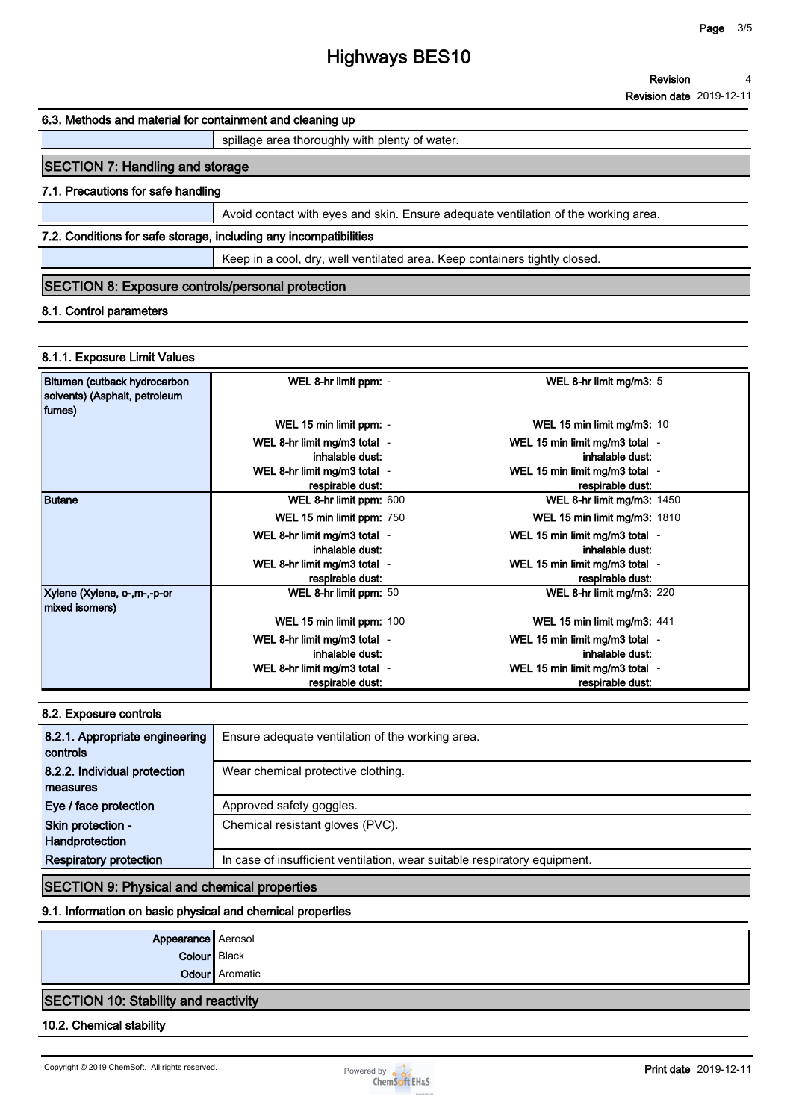# **Highways BES10**

#### **Revision date 2019-12-11**

#### **6.3. Methods and material for containment and cleaning up**

**spillage area thoroughly with plenty of water.**

# **SECTION 7: Handling and storage**

## **7.1. Precautions for safe handling**

**Avoid contact with eyes and skin. Ensure adequate ventilation of the working area.**

## **7.2. Conditions for safe storage, including any incompatibilities**

**Keep in a cool, dry, well ventilated area. Keep containers tightly closed.**

# **SECTION 8: Exposure controls/personal protection**

## **8.1. Control parameters**

## **8.1.1. Exposure Limit Values**

| Bitumen (cutback hydrocarbon<br>solvents) (Asphalt, petroleum<br>fumes) | WEL 8-hr limit ppm: -                            | WEL 8-hr limit mg/m3: 5                            |  |
|-------------------------------------------------------------------------|--------------------------------------------------|----------------------------------------------------|--|
|                                                                         | WEL 15 min limit ppm: -                          | WEL 15 min limit mg/m3: 10                         |  |
|                                                                         | WEL 8-hr limit mg/m3 total -<br>inhalable dust:  | WEL 15 min limit mg/m3 total -<br>inhalable dust:  |  |
|                                                                         | WEL 8-hr limit mg/m3 total -<br>respirable dust: | WEL 15 min limit mg/m3 total -<br>respirable dust: |  |
| Butane                                                                  | WEL 8-hr limit ppm: 600                          | <b>WEL 8-hr limit mg/m3: 1450</b>                  |  |
|                                                                         | WEL 15 min limit ppm: 750                        | <b>WEL 15 min limit mg/m3: 1810</b>                |  |
|                                                                         | WEL 8-hr limit mg/m3 total -<br>inhalable dust:  | WEL 15 min limit mg/m3 total -<br>inhalable dust:  |  |
|                                                                         | WEL 8-hr limit mg/m3 total -<br>respirable dust: | WEL 15 min limit mg/m3 total -<br>respirable dust: |  |
| Xylene (Xylene, o-,m-,-p-or<br>mixed isomers)                           | WEL 8-hr limit ppm: 50                           | WEL 8-hr limit mg/m3: 220                          |  |
|                                                                         | WEL 15 min limit ppm: 100                        | WEL 15 min limit mg/m3: 441                        |  |
|                                                                         | WEL 8-hr limit mg/m3 total -<br>inhalable dust:  | WEL 15 min limit mg/m3 total -<br>inhalable dust:  |  |
|                                                                         | WEL 8-hr limit mg/m3 total -<br>respirable dust: | WEL 15 min limit mg/m3 total -<br>respirable dust: |  |

## **8.2. Exposure controls**

| 8.2.1. Appropriate engineering<br>controls | Ensure adequate ventilation of the working area.                          |
|--------------------------------------------|---------------------------------------------------------------------------|
| 8.2.2. Individual protection               | Wear chemical protective clothing.                                        |
| measures                                   |                                                                           |
| Eye / face protection                      | Approved safety goggles.                                                  |
| Skin protection -                          | Chemical resistant gloves (PVC).                                          |
| Handprotection                             |                                                                           |
| <b>Respiratory protection</b>              | In case of insufficient ventilation, wear suitable respiratory equipment. |

## **SECTION 9: Physical and chemical properties**

## **9.1. Information on basic physical and chemical properties**

| Appearance Aerosol  |                |
|---------------------|----------------|
| <b>Colour</b> Black |                |
|                     | Odour Aromatic |

## **SECTION 10: Stability and reactivity**

#### **10.2. Chemical stability**

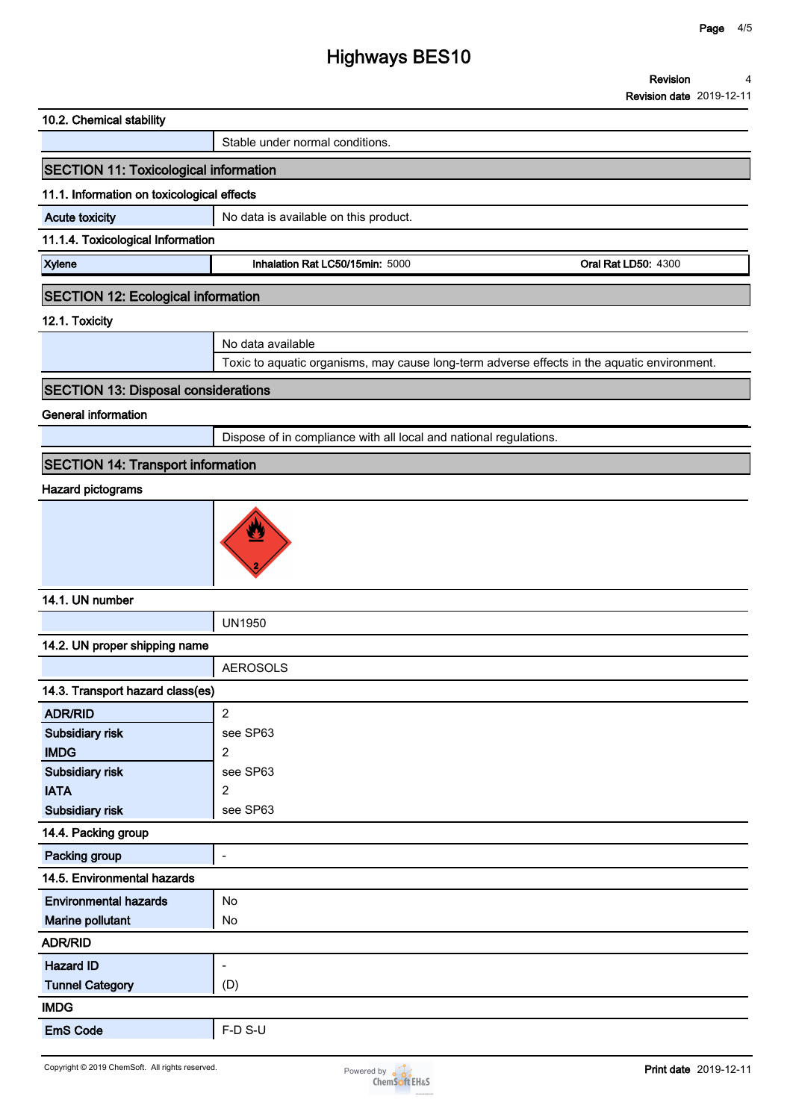# **Highways BES10**

| 10.2. Chemical stability                     |                                                                                             |                            |
|----------------------------------------------|---------------------------------------------------------------------------------------------|----------------------------|
|                                              | Stable under normal conditions.                                                             |                            |
| <b>SECTION 11: Toxicological information</b> |                                                                                             |                            |
| 11.1. Information on toxicological effects   |                                                                                             |                            |
| <b>Acute toxicity</b>                        | No data is available on this product.                                                       |                            |
| 11.1.4. Toxicological Information            |                                                                                             |                            |
| <b>Xylene</b>                                | Inhalation Rat LC50/15min: 5000                                                             | <b>Oral Rat LD50: 4300</b> |
| <b>SECTION 12: Ecological information</b>    |                                                                                             |                            |
| 12.1. Toxicity                               |                                                                                             |                            |
|                                              | No data available                                                                           |                            |
|                                              | Toxic to aquatic organisms, may cause long-term adverse effects in the aquatic environment. |                            |
| <b>SECTION 13: Disposal considerations</b>   |                                                                                             |                            |
| <b>General information</b>                   |                                                                                             |                            |
|                                              | Dispose of in compliance with all local and national regulations.                           |                            |
| <b>SECTION 14: Transport information</b>     |                                                                                             |                            |
| Hazard pictograms                            |                                                                                             |                            |
|                                              |                                                                                             |                            |



## **14.1. UN number**

**UN1950**

| 14.2. UN proper shipping name    |                          |  |
|----------------------------------|--------------------------|--|
|                                  | <b>AEROSOLS</b>          |  |
| 14.3. Transport hazard class(es) |                          |  |
| <b>ADR/RID</b>                   | $\overline{2}$           |  |
| Subsidiary risk                  | see SP63                 |  |
| <b>IMDG</b>                      | $\overline{2}$           |  |
| Subsidiary risk                  | see SP63                 |  |
| <b>IATA</b>                      | $\overline{2}$           |  |
| Subsidiary risk                  | see SP63                 |  |
| 14.4. Packing group              |                          |  |
| Packing group                    | $\overline{\phantom{a}}$ |  |
| 14.5. Environmental hazards      |                          |  |
| <b>Environmental hazards</b>     | No                       |  |
| Marine pollutant                 | No                       |  |
| <b>ADR/RID</b>                   |                          |  |
| <b>Hazard ID</b>                 | $\overline{\phantom{a}}$ |  |
| <b>Tunnel Category</b>           | (D)                      |  |
| <b>IMDG</b>                      |                          |  |
| <b>EmS Code</b>                  | F-D S-U                  |  |